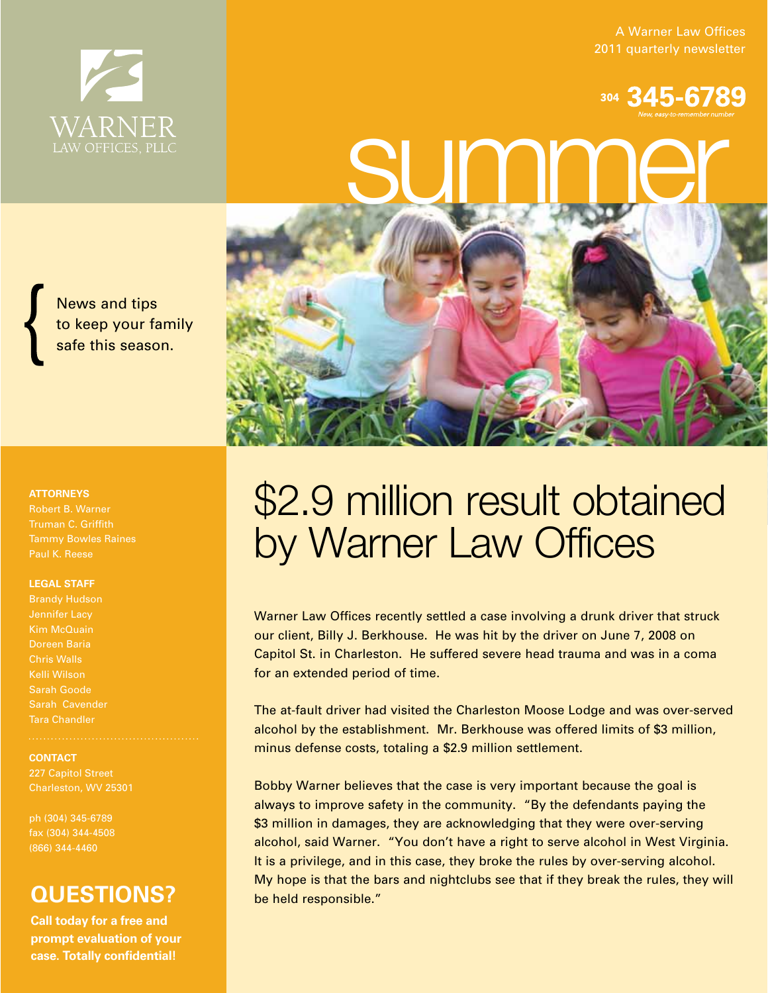A Warner Law Offices 2011 quarterly newsletter

# SUMM<sub>New, easy to remember numb</sub>

News and tips to keep your family safe this season.

#### **ATTORNEYS**

Robert B. Warner Truman C. Griffith Tammy Bowles Raines Paul K. Reese

#### **LEGAL STAFF**

Brandy Hudson Kim McQuain Doreen Baria Chris Walls Kelli Wilson Sarah Goode Sarah Cavender Tara Chandler

#### **CONTACT**

Charleston, WV 25301

ph (304) 345-6789 fax (304) 344-4508 (866) 344-4460

### **QUESTIONS?**

**Call today for a free and prompt evaluation of your case. Totally confidential!**

# \$2.9 million result obtained by Warner Law Offices

Warner Law Offices recently settled a case involving a drunk driver that struck our client, Billy J. Berkhouse. He was hit by the driver on June 7, 2008 on Capitol St. in Charleston. He suffered severe head trauma and was in a coma for an extended period of time.

The at-fault driver had visited the Charleston Moose Lodge and was over-served alcohol by the establishment. Mr. Berkhouse was offered limits of \$3 million, minus defense costs, totaling a \$2.9 million settlement.

Bobby Warner believes that the case is very important because the goal is always to improve safety in the community. "By the defendants paying the \$3 million in damages, they are acknowledging that they were over-serving alcohol, said Warner. "You don't have a right to serve alcohol in West Virginia. It is a privilege, and in this case, they broke the rules by over-serving alcohol. My hope is that the bars and nightclubs see that if they break the rules, they will be held responsible."

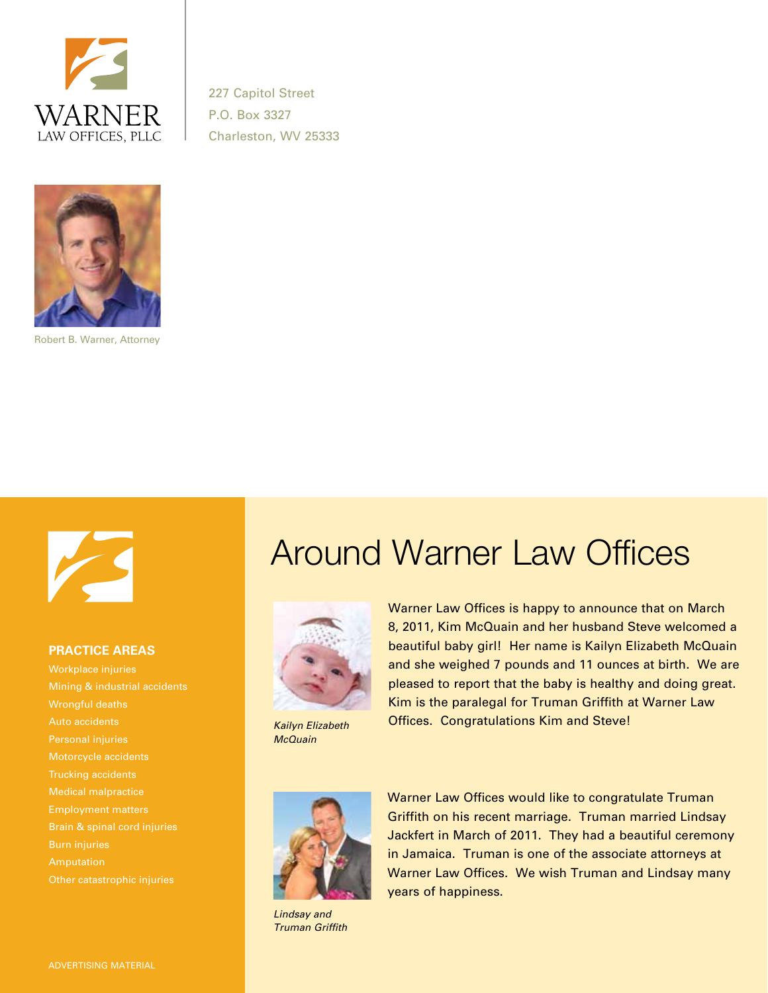

227 Capitol Street P.O. Box 3327 Charleston, WV 25333



Robert B. Warner, Attorney



#### **PRACTICE AREAS**

Workplace injuries Mining & industrial accidents Wrongful deaths Auto accidents Personal injuries Motorcycle accidents Trucking accidents Medical malpractice Employment matters Burn injuries Other catastrophic injuries

## Around Warner Law Offices



*Kailyn Elizabeth McQuain*

Warner Law Offices is happy to announce that on March 8, 2011, Kim McQuain and her husband Steve welcomed a beautiful baby girl! Her name is Kailyn Elizabeth McQuain and she weighed 7 pounds and 11 ounces at birth. We are pleased to report that the baby is healthy and doing great. Kim is the paralegal for Truman Griffith at Warner Law Offices. Congratulations Kim and Steve!



*Lindsay and Truman Griffith*

Warner Law Offices would like to congratulate Truman Griffith on his recent marriage. Truman married Lindsay Jackfert in March of 2011. They had a beautiful ceremony in Jamaica. Truman is one of the associate attorneys at Warner Law Offices. We wish Truman and Lindsay many years of happiness.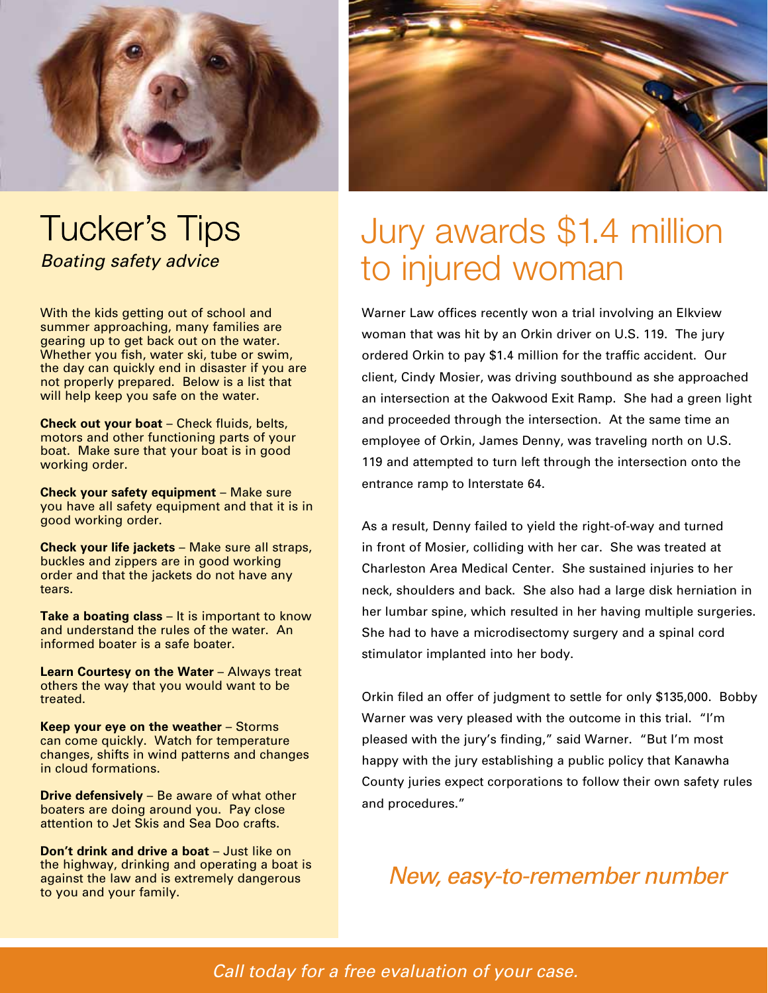

## **Tucker's Tips** *Boating safety advice*

With the kids getting out of school and summer approaching, many families are gearing up to get back out on the water. Whether you fish, water ski, tube or swim, the day can quickly end in disaster if you are not properly prepared. Below is a list that will help keep you safe on the water.

**Check out your boat** – Check fluids, belts, motors and other functioning parts of your boat. Make sure that your boat is in good working order.

**Check your safety equipment** – Make sure you have all safety equipment and that it is in good working order.

**Check your life jackets** – Make sure all straps, buckles and zippers are in good working order and that the jackets do not have any tears.

**Take a boating class** – It is important to know and understand the rules of the water. An informed boater is a safe boater.

**Learn Courtesy on the Water** – Always treat others the way that you would want to be treated.

**Keep your eye on the weather** – Storms can come quickly. Watch for temperature changes, shifts in wind patterns and changes in cloud formations.

**Drive defensively** – Be aware of what other boaters are doing around you. Pay close attention to Jet Skis and Sea Doo crafts.

**Don't drink and drive a boat** – Just like on the highway, drinking and operating a boat is against the law and is extremely dangerous to you and your family.



# Jury awards \$1.4 million to injured woman

Warner Law offices recently won a trial involving an Elkview woman that was hit by an Orkin driver on U.S. 119. The jury ordered Orkin to pay \$1.4 million for the traffic accident. Our client, Cindy Mosier, was driving southbound as she approached an intersection at the Oakwood Exit Ramp. She had a green light and proceeded through the intersection. At the same time an employee of Orkin, James Denny, was traveling north on U.S. 119 and attempted to turn left through the intersection onto the entrance ramp to Interstate 64.

As a result, Denny failed to yield the right-of-way and turned in front of Mosier, colliding with her car. She was treated at Charleston Area Medical Center. She sustained injuries to her neck, shoulders and back. She also had a large disk herniation in her lumbar spine, which resulted in her having multiple surgeries. She had to have a microdisectomy surgery and a spinal cord stimulator implanted into her body.

Orkin filed an offer of judgment to settle for only \$135,000. Bobby Warner was very pleased with the outcome in this trial. "I'm pleased with the jury's finding," said Warner. "But I'm most happy with the jury establishing a public policy that Kanawha County juries expect corporations to follow their own safety rules and procedures."

## New, easy-to-remember number

*Call today for a free evaluation of your case.*